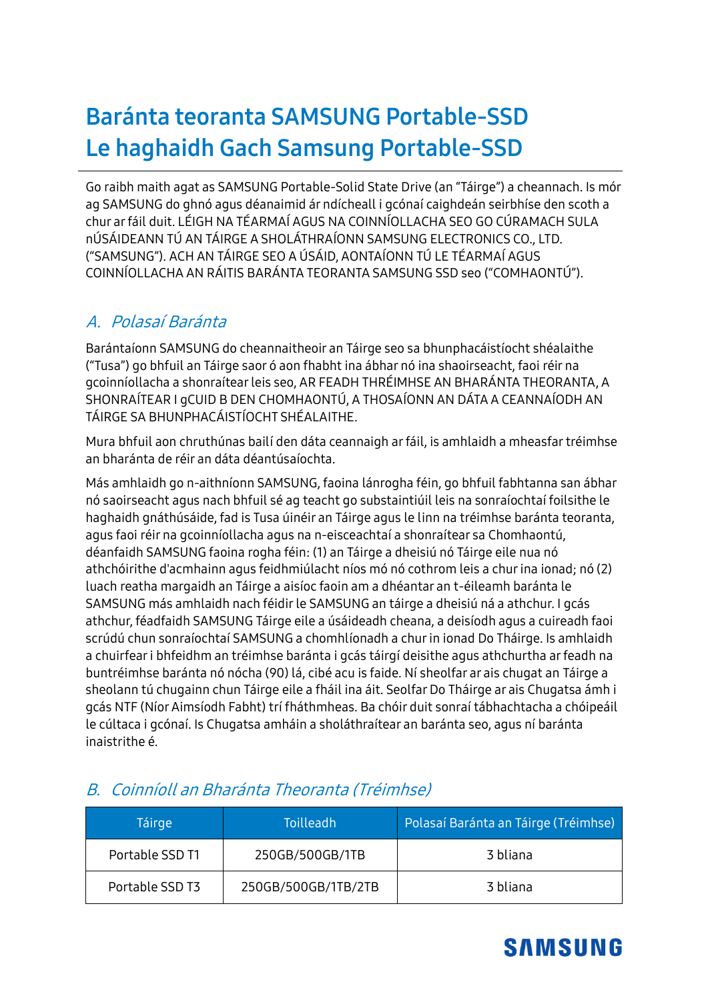# **Baránta teoranta SAMSUNG Portable-SSD Le haghaidh Gach Samsung Portable-SSD**

Go raibh maith agat as SAMSUNG Portable-Solid State Drive (an "Táirge") a cheannach. Is mór ag SAMSUNG do ghnó agus déanaimid ár ndícheall i gcónaí caighdeán seirbhíse den scoth a chur ar fáil duit. LÉIGH NA TÉARMAÍ AGUS NA COINNÍOLLACHA SEO GO CÚRAMACH SULA nÚSÁIDEANN TÚ AN TÁIRGE A SHOLÁTHRAÍONN SAMSUNG ELECTRONICS CO., LTD. ("SAMSUNG"). ACH AN TÁIRGE SEO A ÚSÁID, AONTAÍONN TÚ LE TÉARMAÍ AGUS COINNÍOLLACHA AN RÁITIS BARÁNTA TEORANTA SAMSUNG SSD seo ("COMHAONTÚ").

#### A. Polasaí Baránta

Barántaíonn SAMSUNG do cheannaitheoir an Táirge seo sa bhunphacáistíocht shéalaithe ("Tusa") go bhfuil an Táirge saor ó aon fhabht ina ábhar nó ina shaoirseacht, faoi réir na gcoinníollacha a shonraítear leis seo, AR FEADH THRÉIMHSE AN BHARÁNTA THEORANTA, A SHONRAÍTEAR I gCUID B DEN CHOMHAONTÚ, A THOSAÍONN AN DÁTA A CEANNAÍODH AN TÁIRGE SA BHUNPHACÁISTÍOCHT SHÉALAITHE.

Mura bhfuil aon chruthúnas bailí den dáta ceannaigh ar fáil, is amhlaidh a mheasfar tréimhse an bharánta de réir an dáta déantúsaíochta.

Más amhlaidh go n-aithníonn SAMSUNG, faoina lánrogha féin, go bhfuil fabhtanna san ábhar nó saoirseacht agus nach bhfuil sé ag teacht go substaintiúil leis na sonraíochtaí foilsithe le haghaidh gnáthúsáide, fad is Tusa úinéir an Táirge agus le linn na tréimhse baránta teoranta, agus faoi réir na gcoinníollacha agus na n-eisceachtaí a shonraítear sa Chomhaontú, déanfaidh SAMSUNG faoina rogha féin: (1) an Táirge a dheisiú nó Táirge eile nua nó athchóirithe d'acmhainn agus feidhmiúlacht níos mó nó cothrom leis a chur ina ionad; nó (2) luach reatha margaidh an Táirge a aisíoc faoin am a dhéantar an t-éileamh baránta le SAMSUNG más amhlaidh nach féidir le SAMSUNG an táirge a dheisiú ná a athchur. I gcás athchur, féadfaidh SAMSUNG Táirge eile a úsáideadh cheana, a deisíodh agus a cuireadh faoi scrúdú chun sonraíochtaí SAMSUNG a chomhlíonadh a chur in ionad Do Tháirge. Is amhlaidh a chuirfear i bhfeidhm an tréimhse baránta i gcás táirgí deisithe agus athchurtha ar feadh na buntréimhse baránta nó nócha (90) lá, cibé acu is faide. Ní sheolfar ar ais chugat an Táirge a sheolann tú chugainn chun Táirge eile a fháil ina áit. Seolfar Do Tháirge ar ais Chugatsa ámh i gcás NTF (Níor Aimsíodh Fabht) trí fháthmheas. Ba chóir duit sonraí tábhachtacha a chóipeáil le cúltaca i gcónaí. Is Chugatsa amháin a sholáthraítear an baránta seo, agus ní baránta inaistrithe é.

| Táirge          | <b>Toilleadh</b>    | Polasaí Baránta an Táirge (Tréimhse) |  |
|-----------------|---------------------|--------------------------------------|--|
| Portable SSD T1 | 250GB/500GB/1TB     | 3 bliana                             |  |
| Portable SSD T3 | 250GB/500GB/1TB/2TB | 3 bliana                             |  |

#### B. Coinníoll an Bharánta Theoranta (Tréimhse)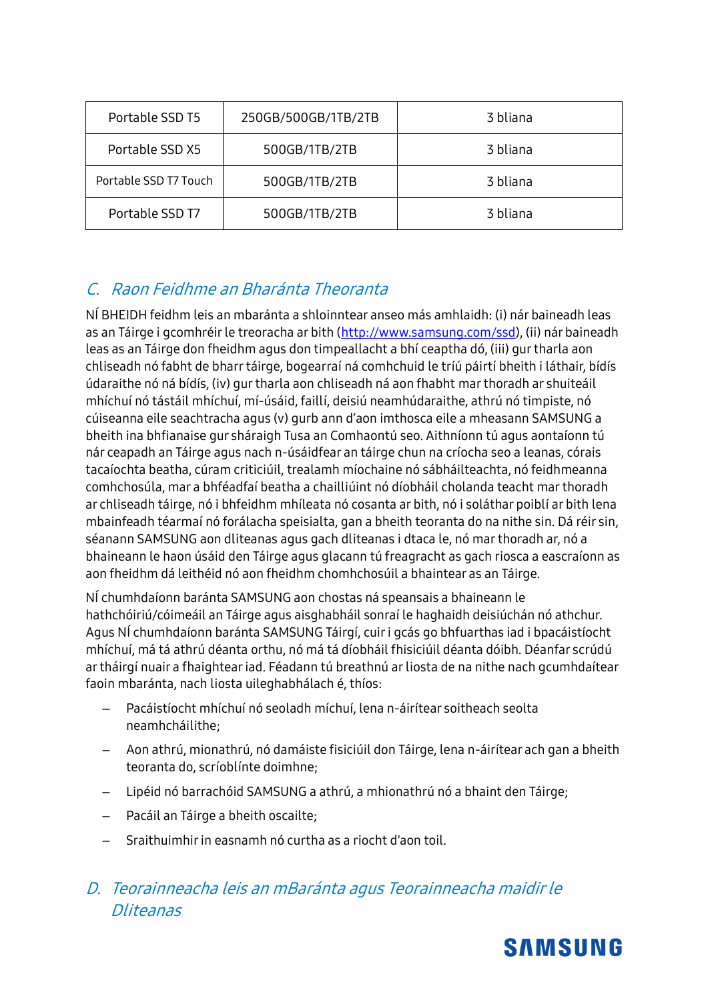| Portable SSD T5       | 250GB/500GB/1TB/2TB | 3 bliana |  |
|-----------------------|---------------------|----------|--|
| Portable SSD X5       | 500GB/1TB/2TB       | 3 bliana |  |
| Portable SSD T7 Touch | 500GB/1TB/2TB       | 3 bliana |  |
| Portable SSD T7       | 500GB/1TB/2TB       | 3 bliana |  |

### C. Raon Feidhme an Bharánta Theoranta

NÍ BHEIDH feidhm leis an mbaránta a shloinntear anseo más amhlaidh: (i) nár baineadh leas as an Táirge i gcomhréir le treoracha ar bith [\(http://www.samsung.com/ssd\)](http://www.samsung.com/ssd), (ii) nár baineadh leas as an Táirge don fheidhm agus don timpeallacht a bhí ceaptha dó, (iii) gur tharla aon chliseadh nó fabht de bharr táirge, bogearraí ná comhchuid le tríú páirtí bheith i láthair, bídís údaraithe nó ná bídís, (iv) gur tharla aon chliseadh ná aon fhabht mar thoradh ar shuiteáil mhíchuí nó tástáil mhíchuí, mí-úsáid, faillí, deisiú neamhúdaraithe, athrú nó timpiste, nó cúiseanna eile seachtracha agus (v) gurb ann d'aon imthosca eile a mheasann SAMSUNG a bheith ina bhfianaise gur sháraigh Tusa an Comhaontú seo. Aithníonn tú agus aontaíonn tú nár ceapadh an Táirge agus nach n-úsáidfear an táirge chun na críocha seo a leanas, córais tacaíochta beatha, cúram criticiúil, trealamh míochaine nó sábháilteachta, nó feidhmeanna comhchosúla, mar a bhféadfaí beatha a chailliúint nó díobháil cholanda teacht mar thoradh ar chliseadh táirge, nó i bhfeidhm mhíleata nó cosanta ar bith, nó i soláthar poiblí ar bith lena mbainfeadh téarmaí nó forálacha speisialta, gan a bheith teoranta do na nithe sin. Dá réir sin, séanann SAMSUNG aon dliteanas agus gach dliteanas i dtaca le, nó mar thoradh ar, nó a bhaineann le haon úsáid den Táirge agus glacann tú freagracht as gach riosca a eascraíonn as aon fheidhm dá leithéid nó aon fheidhm chomhchosúil a bhaintear as an Táirge.

NÍ chumhdaíonn baránta SAMSUNG aon chostas ná speansais a bhaineann le hathchóiriú/cóimeáil an Táirge agus aisghabháil sonraí le haghaidh deisiúchán nó athchur. Agus NÍ chumhdaíonn baránta SAMSUNG Táirgí, cuir i gcás go bhfuarthas iad i bpacáistíocht mhíchuí, má tá athrú déanta orthu, nó má tá díobháil fhisiciúil déanta dóibh. Déanfar scrúdú ar tháirgí nuair a fhaightear iad. Féadann tú breathnú ar liosta de na nithe nach gcumhdaítear faoin mbaránta, nach liosta uileghabhálach é, thíos:

- Pacáistíocht mhíchuí nó seoladh míchuí, lena n-áirítear soitheach seolta neamhcháilithe;
- Aon athrú, mionathrú, nó damáiste fisiciúil don Táirge, lena n-áirítear ach gan a bheith teoranta do, scríoblínte doimhne;
- Lipéid nó barrachóid SAMSUNG a athrú, a mhionathrú nó a bhaint den Táirge;
- Pacáil an Táirge a bheith oscailte;
- Sraithuimhir in easnamh nó curtha as a riocht d'aon toil.

### D. Teorainneacha leis an mBaránta agus Teorainneacha maidir le Dliteanas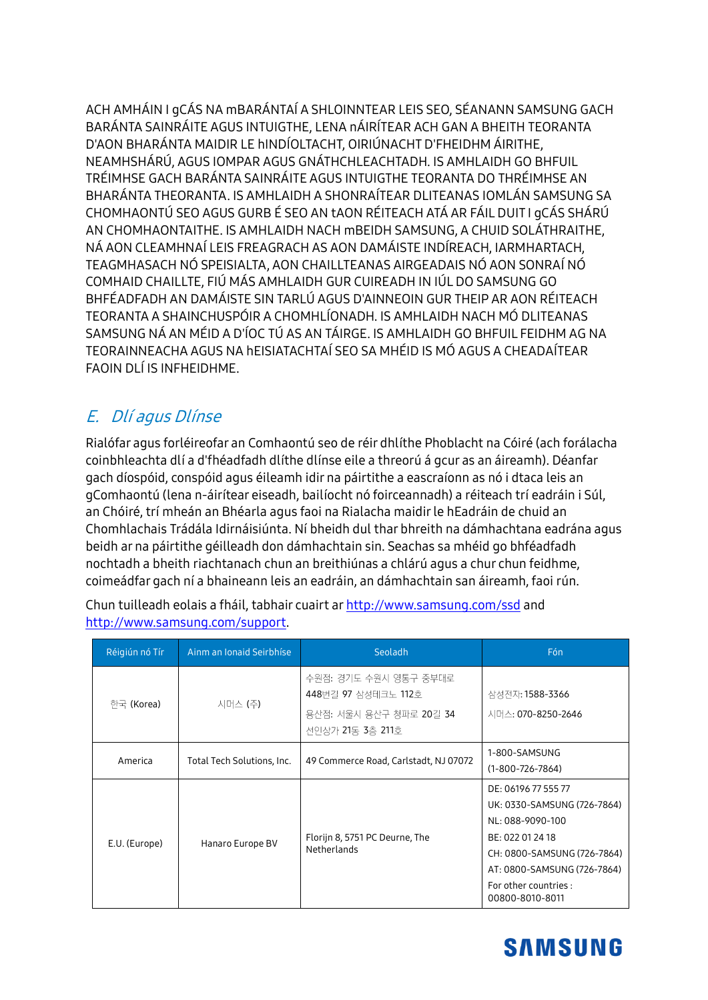ACH AMHÁIN I GCÁS NA MBARÁNTAÍ A SHLOINNTEAR LEIS SEO, SÉANANN SAMSUNG GACH BARÁNTA SAINRÁITE AGUS INTUIGTHE, LENA nÁIRÍTEAR ACH GAN A BHEITH TEORANTA D'AON BHARÁNTA MAIDIR LE HINDÍOLTACHT, OIRIÚNACHT D'FHEIDHM ÁIRITHE, NEAMHSHÁRÚ, AGUS IOMPAR AGUS GNÁTHCHLEACHTADH. IS AMHLAIDH GO BHFUIL TRÉIMHSE GACH BARÁNTA SAINRÁITE AGUS INTUIGTHE TEORANTA DO THRÉIMHSE AN BHARÁNTA THEORANTA. IS AMHLAIDH A SHONRAÍTEAR DLITEANAS IOMLÁN SAMSUNG SA CHOMHAONTÚ SEO AGUS GURB É SEO AN tAON RÉITEACH ATÁ AR FÁIL DUIT I GCÁS SHÁRÚ AN CHOMHAONTAITHE. IS AMHLAIDH NACH MBEIDH SAMSUNG, A CHUID SOLÁTHRAITHE, NÁ AON CLEAMHNAÍ LEIS FREAGRACH AS AON DAMÁISTE INDÍREACH, IARMHARTACH, TEAGMHASACH NÓ SPEISIALTA, AON CHAILLTEANAS AIRGEADAIS NÓ AON SONRAÍ NÓ COMHAID CHAILLTE. FIÚ MÁS AMHLAIDH GUR CUIREADH IN IÚL DO SAMSUNG GO BHFÉADFADH AN DAMÁISTE SIN TARLÚ AGUS D'AINNEOIN GUR THEIP AR AON RÉITEACH TEORANTA A SHAINCHUSPÓIR A CHOMHLÍONADH. IS AMHLAIDH NACH MÓ DLITEANAS SAMSUNG NÁ AN MÉID A D'ÍOC TÚ AS AN TÁIRGE. IS AMHLAIDH GO BHEUIL FEIDHM AG NA TEORAINNEACHA AGUS NA hEISIATACHTAÍ SEO SA MHÉID IS MÓ AGUS A CHEADAÍTEAR FAOIN DLÍ IS INFHEIDHME.

### E. Dlí agus Dlínse

Rialófar agus forléireofar an Comhaontú seo de réir dhlíthe Phoblacht na Cóiré (ach forálacha coinbhleachta dlí a d'fhéadfadh dlíthe dlínse eile a threorú á gcur as an áireamh). Déanfar gach díospóid, conspóid agus éileamh idir na páirtithe a eascraíonn as nó i dtaca leis an gComhaontú (lena n-áirítear eiseadh, bailíocht nó foirceannadh) a réiteach trí eadráin i Súl, an Chóiré, trí mheán an Bhéarla agus faoi na Rialacha maidir le hEadráin de chuid an Chomhlachais Trádála Idirnáisiúnta. Ní bheidh dul thar bhreith na dámhachtana eadrána agus beidh ar na páirtithe géilleadh don dámhachtain sin. Seachas sa mhéid go bhféadfadh nochtadh a bheith riachtanach chun an breithiúnas a chlárú agus a chur chun feidhme, coimeádfar gach ní a bhaineann leis an eadráin, an dámhachtain san áireamh, faoi rún.

| Réigiún nó Tír        | Ainm an Ionaid Seirbhíse   | Seoladh                                                                                     | Fón                                                                                                                                                                                                  |
|-----------------------|----------------------------|---------------------------------------------------------------------------------------------|------------------------------------------------------------------------------------------------------------------------------------------------------------------------------------------------------|
| <sup>하국</sup> (Korea) | 시머스 (주)                    | 수원점: 경기도 수원시 영통구 중부대로<br>448번길 97 삼성테크노 112호<br>용산점: 서울시 용산구 청파로 20길 34<br>선인상가 21동 3층 211호 | 삼성전자: 1588-3366<br>시머스: 070-8250-2646                                                                                                                                                                |
| America               | Total Tech Solutions, Inc. | 49 Commerce Road, Carlstadt, NJ 07072                                                       | 1-800-SAMSUNG<br>$(1-800-726-7864)$                                                                                                                                                                  |
| E.U. (Europe)         | Hanaro Europe BV           | Florijn 8, 5751 PC Deurne, The<br>Netherlands                                               | DE: 06196 77 555 77<br>UK: 0330-SAMSUNG (726-7864)<br>NL: 088-9090-100<br>BE: 022 01 24 18<br>CH: 0800-SAMSUNG (726-7864)<br>AT: 0800-SAMSUNG (726-7864)<br>For other countries :<br>00800-8010-8011 |

Chun tuilleadh eolais a fháil, tabhair cuairt ar http://www.samsung.com/ssd and http://www.samsung.com/support.